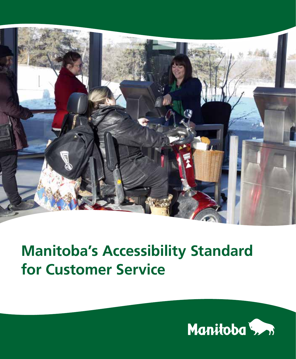

## **Manitoba's Accessibility Standard for Customer Service**

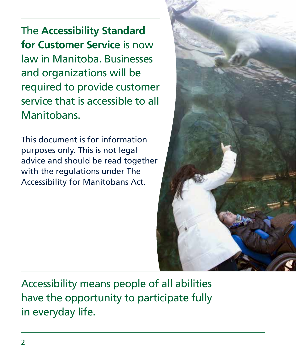The **Accessibility Standard for Customer Service** is now law in Manitoba. Businesses and organizations will be required to provide customer service that is accessible to all Manitobans.

This document is for information purposes only. This is not legal advice and should be read together with the regulations under The Accessibility for Manitobans Act.



Accessibility means people of all abilities have the opportunity to participate fully in everyday life.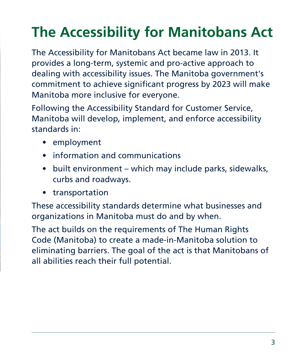# **The Accessibility for Manitobans Act**

The Accessibility for Manitobans Act became law in 2013. It provides a long-term, systemic and pro-active approach to dealing with accessibility issues. The Manitoba government's commitment to achieve significant progress by 2023 will make Manitoba more inclusive for everyone.

Following the Accessibility Standard for Customer Service, Manitoba will develop, implement, and enforce accessibility standards in:

- employment
- information and communications
- built environment which may include parks, sidewalks, curbs and roadways.
- transportation

These accessibility standards determine what businesses and organizations in Manitoba must do and by when.

The act builds on the requirements of The Human Rights Code (Manitoba) to create a made-in-Manitoba solution to eliminating barriers. The goal of the act is that Manitobans of all abilities reach their full potential.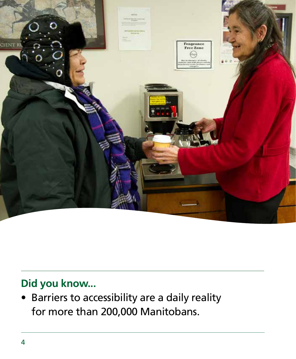

### **Did you know...**

Barriers to accessibility are a daily reality for more than 200,000 Manitobans.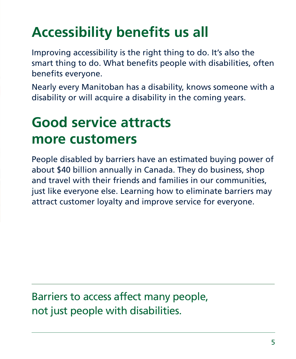## **Accessibility benefits us all**

Improving accessibility is the right thing to do. It's also the smart thing to do. What benefits people with disabilities, often benefits everyone.

Nearly every Manitoban has a disability, knows someone with a disability or will acquire a disability in the coming years.

## **Good service attracts more customers**

People disabled by barriers have an estimated buying power of about \$40 billion annually in Canada. They do business, shop and travel with their friends and families in our communities, just like everyone else. Learning how to eliminate barriers may attract customer loyalty and improve service for everyone.

Barriers to access affect many people, not just people with disabilities.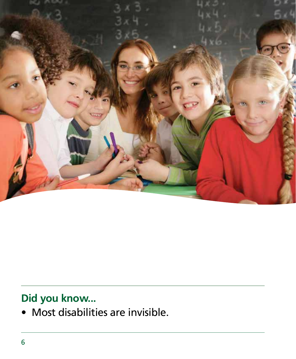

### **Did you know...**

• Most disabilities are invisible.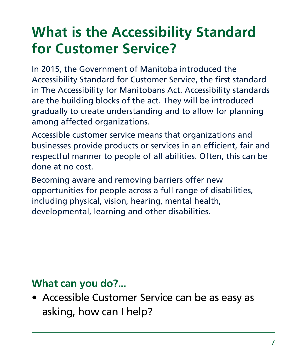## **What is the Accessibility Standard for Customer Service?**

In 2015, the Government of Manitoba introduced the Accessibility Standard for Customer Service, the first standard in The Accessibility for Manitobans Act. Accessibility standards are the building blocks of the act. They will be introduced gradually to create understanding and to allow for planning among affected organizations.

Accessible customer service means that organizations and businesses provide products or services in an efficient, fair and respectful manner to people of all abilities. Often, this can be done at no cost.

Becoming aware and removing barriers offer new opportunities for people across a full range of disabilities, including physical, vision, hearing, mental health, developmental, learning and other disabilities.

### **What can you do?...**

• Accessible Customer Service can be as easy as asking, how can I help?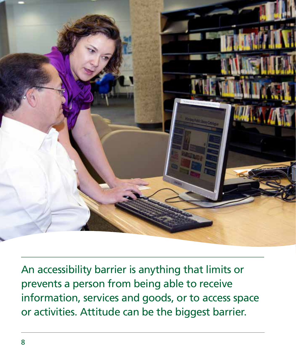

An accessibility barrier is anything that limits or prevents a person from being able to receive information, services and goods, or to access space or activities. Attitude can be the biggest barrier.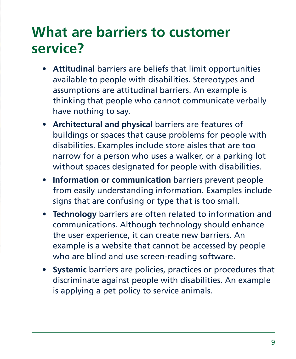### **What are barriers to customer service?**

- **Attitudinal** barriers are beliefs that limit opportunities available to people with disabilities. Stereotypes and assumptions are attitudinal barriers. An example is thinking that people who cannot communicate verbally have nothing to say.
- **Architectural and physical** barriers are features of buildings or spaces that cause problems for people with disabilities. Examples include store aisles that are too narrow for a person who uses a walker, or a parking lot without spaces designated for people with disabilities.
- **Information or communication** barriers prevent people from easily understanding information. Examples include signs that are confusing or type that is too small.
- **Technology** barriers are often related to information and communications. Although technology should enhance the user experience, it can create new barriers. An example is a website that cannot be accessed by people who are blind and use screen-reading software.
- **Systemic** barriers are policies, practices or procedures that discriminate against people with disabilities. An example is applying a pet policy to service animals.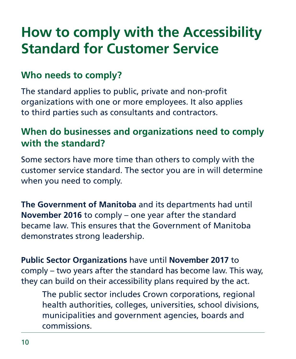### **How to comply with the Accessibility Standard for Customer Service**

### **Who needs to comply?**

The standard applies to public, private and non-profit organizations with one or more employees. It also applies to third parties such as consultants and contractors.

#### **When do businesses and organizations need to comply with the standard?**

Some sectors have more time than others to comply with the customer service standard. The sector you are in will determine when you need to comply.

**The Government of Manitoba** and its departments had until **November 2016** to comply – one year after the standard became law. This ensures that the Government of Manitoba demonstrates strong leadership.

**Public Sector Organizations** have until **November 2017** to comply – two years after the standard has become law. This way, they can build on their accessibility plans required by the act.

The public sector includes Crown corporations, regional health authorities, colleges, universities, school divisions, municipalities and government agencies, boards and commissions.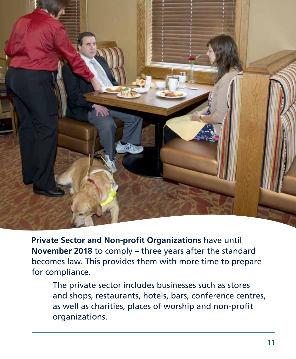

**Private Sector and Non-profit Organizations** have until **November 2018** to comply – three years after the standard becomes law. This provides them with more time to prepare for compliance.

The private sector includes businesses such as stores and shops, restaurants, hotels, bars, conference centres, as well as charities, places of worship and non-profit organizations.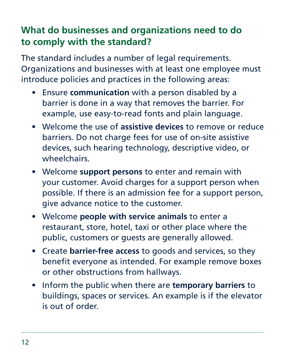### **What do businesses and organizations need to do to comply with the standard?**

The standard includes a number of legal requirements. Organizations and businesses with at least one employee must introduce policies and practices in the following areas:

- Ensure **communication** with a person disabled by a barrier is done in a way that removes the barrier. For example, use easy-to-read fonts and plain language.
- Welcome the use of **assistive devices** to remove or reduce barriers. Do not charge fees for use of on-site assistive devices, such hearing technology, descriptive video, or wheelchairs.
- Welcome **support persons** to enter and remain with your customer. Avoid charges for a support person when possible. If there is an admission fee for a support person, give advance notice to the customer.
- Welcome **people with service animals** to enter a restaurant, store, hotel, taxi or other place where the public, customers or guests are generally allowed.
- Create **barrier-free access** to goods and services, so they benefit everyone as intended. For example remove boxes or other obstructions from hallways.
- Inform the public when there are **temporary barriers** to buildings, spaces or services. An example is if the elevator is out of order.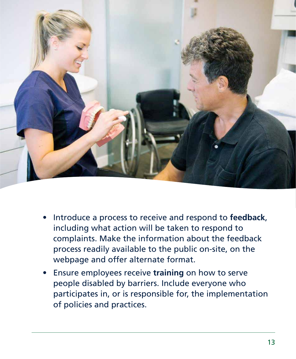

- Introduce a process to receive and respond to **feedback**, including what action will be taken to respond to complaints. Make the information about the feedback process readily available to the public on-site, on the webpage and offer alternate format.
- Ensure employees receive **training** on how to serve people disabled by barriers. Include everyone who participates in, or is responsible for, the implementation of policies and practices.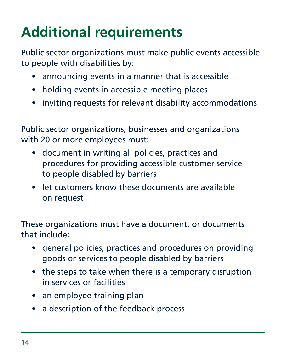# **Additional requirements**

Public sector organizations must make public events accessible to people with disabilities by:

- announcing events in a manner that is accessible
- holding events in accessible meeting places
- inviting requests for relevant disability accommodations

Public sector organizations, businesses and organizations with 20 or more employees must:

- document in writing all policies, practices and procedures for providing accessible customer service to people disabled by barriers
- let customers know these documents are available on request

These organizations must have a document, or documents that include:

- general policies, practices and procedures on providing goods or services to people disabled by barriers
- the steps to take when there is a temporary disruption in services or facilities
- an employee training plan
- a description of the feedback process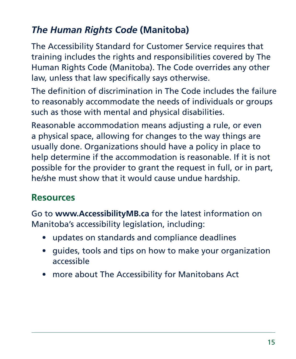### *The Human Rights Code* **(Manitoba)**

The Accessibility Standard for Customer Service requires that training includes the rights and responsibilities covered by The Human Rights Code (Manitoba). The Code overrides any other law, unless that law specifically says otherwise.

The definition of discrimination in The Code includes the failure to reasonably accommodate the needs of individuals or groups such as those with mental and physical disabilities.

Reasonable accommodation means adjusting a rule, or even a physical space, allowing for changes to the way things are usually done. Organizations should have a policy in place to help determine if the accommodation is reasonable. If it is not possible for the provider to grant the request in full, or in part, he/she must show that it would cause undue hardship.

#### **Resources**

Go to **www.AccessibilityMB.ca** for the latest information on Manitoba's accessibility legislation, including:

- updates on standards and compliance deadlines
- guides, tools and tips on how to make your organization accessible
- more about The Accessibility for Manitobans Act